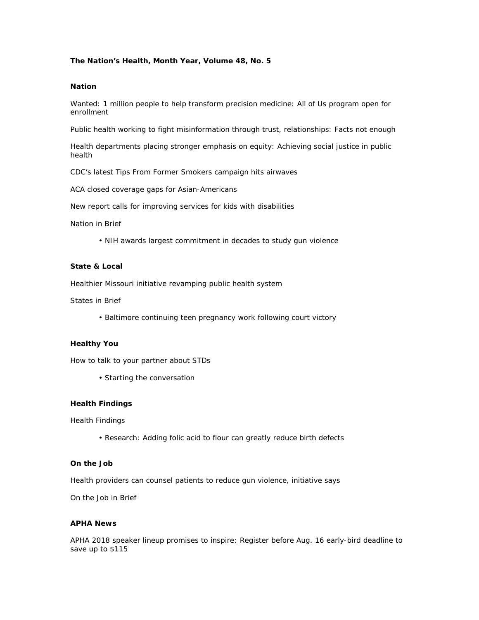# **The Nation's Health, Month Year, Volume 48, No. 5**

### **Nation**

Wanted: 1 million people to help transform precision medicine: All of Us program open for enrollment

Public health working to fight misinformation through trust, relationships: Facts not enough

Health departments placing stronger emphasis on equity: Achieving social justice in public health

CDC's latest Tips From Former Smokers campaign hits airwaves

ACA closed coverage gaps for Asian-Americans

New report calls for improving services for kids with disabilities

Nation in Brief

• NIH awards largest commitment in decades to study gun violence

# **State & Local**

Healthier Missouri initiative revamping public health system

States in Brief

• Baltimore continuing teen pregnancy work following court victory

#### **Healthy You**

How to talk to your partner about STDs

• Starting the conversation

#### **Health Findings**

Health Findings

• Research: Adding folic acid to flour can greatly reduce birth defects

#### **On the Job**

Health providers can counsel patients to reduce gun violence, initiative says

On the Job in Brief

## **APHA News**

APHA 2018 speaker lineup promises to inspire: Register before Aug. 16 early-bird deadline to save up to \$115